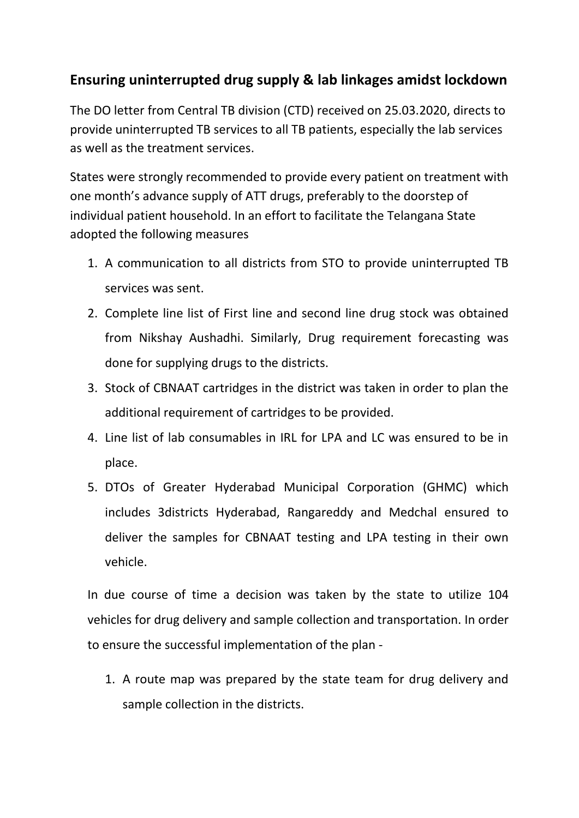## **Ensuring uninterrupted drug supply & lab linkages amidst lockdown**

The DO letter from Central TB division (CTD) received on 25.03.2020, directs to provide uninterrupted TB services to all TB patients, especially the lab services as well as the treatment services.

States were strongly recommended to provide every patient on treatment with one month's advance supply of ATT drugs, preferably to the doorstep of individual patient household. In an effort to facilitate the Telangana State adopted the following measures

- 1. A communication to all districts from STO to provide uninterrupted TB services was sent.
- 2. Complete line list of First line and second line drug stock was obtained from Nikshay Aushadhi. Similarly, Drug requirement forecasting was done for supplying drugs to the districts.
- 3. Stock of CBNAAT cartridges in the district was taken in order to plan the additional requirement of cartridges to be provided.
- 4. Line list of lab consumables in IRL for LPA and LC was ensured to be in place.
- 5. DTOs of Greater Hyderabad Municipal Corporation (GHMC) which includes 3districts Hyderabad, Rangareddy and Medchal ensured to deliver the samples for CBNAAT testing and LPA testing in their own vehicle.

In due course of time a decision was taken by the state to utilize 104 vehicles for drug delivery and sample collection and transportation. In order to ensure the successful implementation of the plan -

1. A route map was prepared by the state team for drug delivery and sample collection in the districts.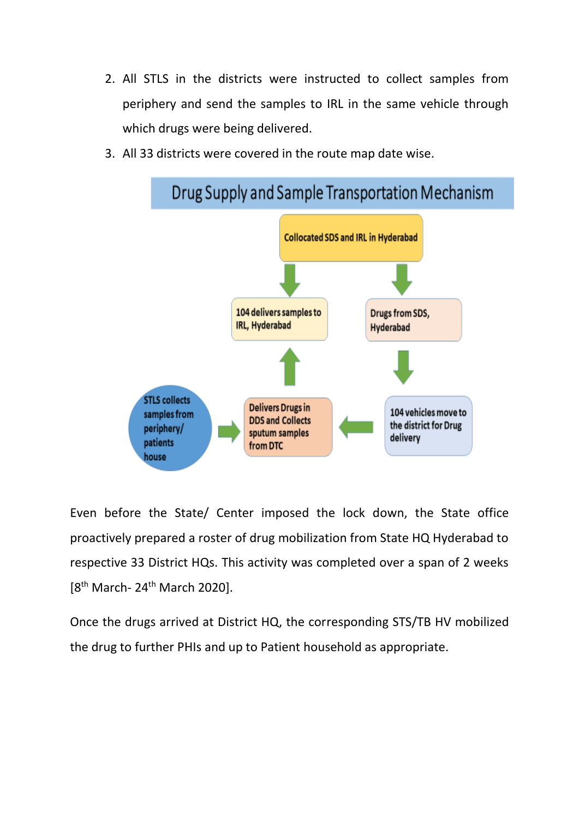- 2. All STLS in the districts were instructed to collect samples from periphery and send the samples to IRL in the same vehicle through which drugs were being delivered.
- 3. All 33 districts were covered in the route map date wise.



Even before the State/ Center imposed the lock down, the State office proactively prepared a roster of drug mobilization from State HQ Hyderabad to respective 33 District HQs. This activity was completed over a span of 2 weeks  $[8^{th}$  March- 24<sup>th</sup> March 2020].

Once the drugs arrived at District HQ, the corresponding STS/TB HV mobilized the drug to further PHIs and up to Patient household as appropriate.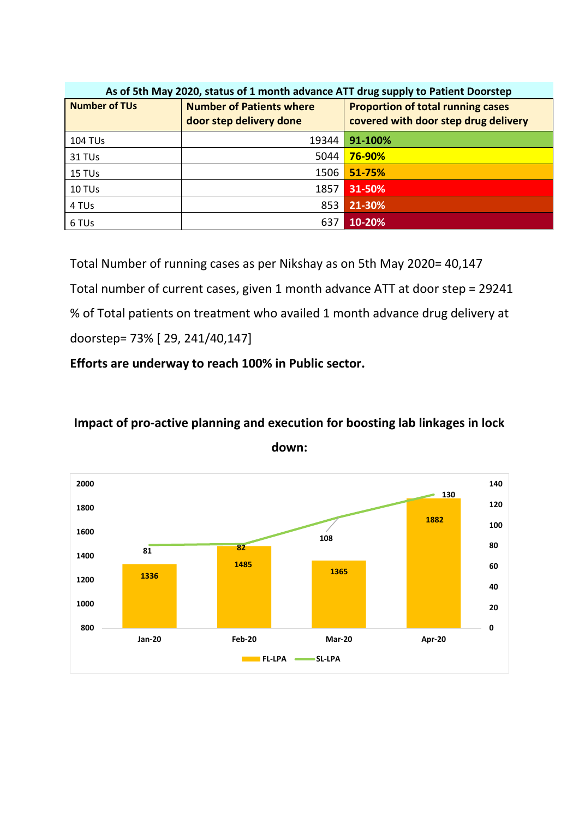| As of 5th May 2020, status of 1 month advance ATT drug supply to Patient Doorstep |                                                            |                                                                                  |  |  |  |  |
|-----------------------------------------------------------------------------------|------------------------------------------------------------|----------------------------------------------------------------------------------|--|--|--|--|
| <b>Number of TUs</b>                                                              | <b>Number of Patients where</b><br>door step delivery done | <b>Proportion of total running cases</b><br>covered with door step drug delivery |  |  |  |  |
| <b>104 TUs</b>                                                                    | 19344                                                      | 91-100%                                                                          |  |  |  |  |
| 31 TU <sub>s</sub>                                                                | 5044                                                       | <b>76-90%</b>                                                                    |  |  |  |  |
| 15 TUs                                                                            | 1506                                                       | 51-75%                                                                           |  |  |  |  |
| 10 TUs                                                                            | 1857                                                       | 31-50%                                                                           |  |  |  |  |
| 4 TUs                                                                             | 853                                                        | 21-30%                                                                           |  |  |  |  |
| 6 TUs                                                                             | 637                                                        | 10-20%                                                                           |  |  |  |  |

Total Number of running cases as per Nikshay as on 5th May 2020= 40,147 Total number of current cases, given 1 month advance ATT at door step = 29241 % of Total patients on treatment who availed 1 month advance drug delivery at doorstep= 73% [ 29, 241/40,147]

**Efforts are underway to reach 100% in Public sector.**

## **Impact of pro-active planning and execution for boosting lab linkages in lock**